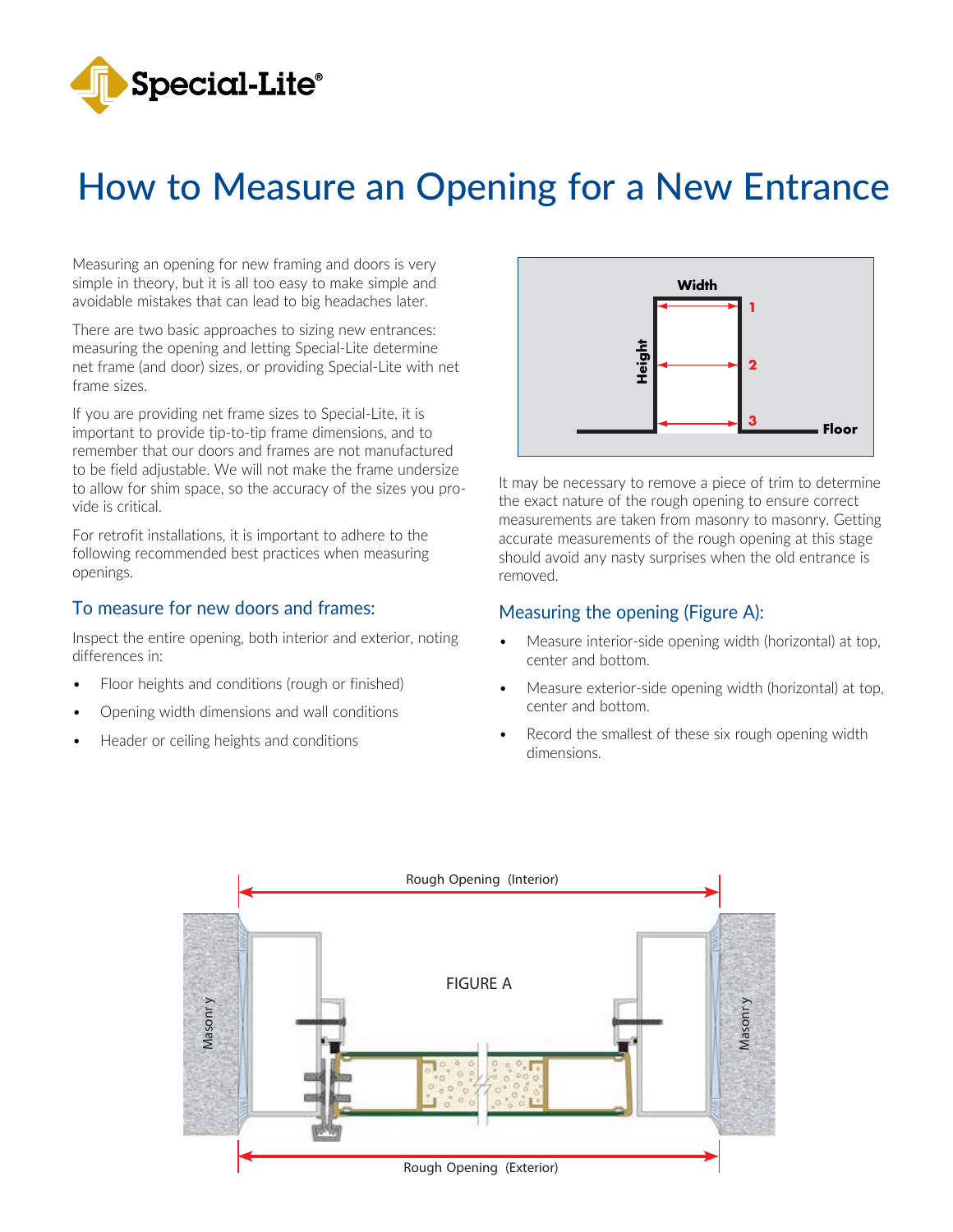

# How to Measure an Opening for a New Entrance

Measuring an opening for new framing and doors is very simple in theory, but it is all too easy to make simple and avoidable mistakes that can lead to big headaches later.

There are two basic approaches to sizing new entrances: measuring the opening and letting Special-Lite determine net frame (and door) sizes, or providing Special-Lite with net frame sizes.

If you are providing net frame sizes to Special-Lite, it is important to provide tip-to-tip frame dimensions, and to remember that our doors and frames are not manufactured to be field adjustable. We will not make the frame undersize to allow for shim space, so the accuracy of the sizes you provide is critical.

For retrofit installations, it is important to adhere to the following recommended best practices when measuring openings.

#### To measure for new doors and frames:

Inspect the entire opening, both interior and exterior, noting differences in:

- Floor heights and conditions (rough or finished)
- Opening width dimensions and wall conditions
- Header or ceiling heights and conditions



It may be necessary to remove a piece of trim to determine the exact nature of the rough opening to ensure correct measurements are taken from masonry to masonry. Getting accurate measurements of the rough opening at this stage should avoid any nasty surprises when the old entrance is removed.

#### Measuring the opening (Figure A):

- Measure interior-side opening width (horizontal) at top, center and bottom.
- Measure exterior-side opening width (horizontal) at top, center and bottom.
- Record the smallest of these six rough opening width dimensions.